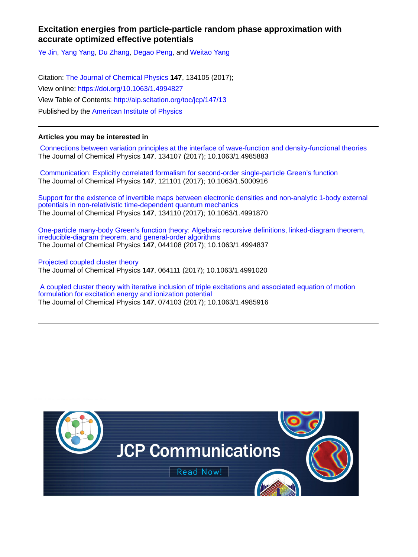# **Excitation energies from particle-particle random phase approximation with accurate optimized effective potentials**

[Ye Jin](http://aip.scitation.org/author/Jin%2C+Ye), [Yang Yang,](http://aip.scitation.org/author/Yang%2C+Yang) [Du Zhang,](http://aip.scitation.org/author/Zhang%2C+Du) [Degao Peng](http://aip.scitation.org/author/Peng%2C+Degao), and [Weitao Yang](http://aip.scitation.org/author/Yang%2C+Weitao)

Citation: [The Journal of Chemical Physics](/loi/jcp) **147**, 134105 (2017); View online: <https://doi.org/10.1063/1.4994827> View Table of Contents: <http://aip.scitation.org/toc/jcp/147/13> Published by the [American Institute of Physics](http://aip.scitation.org/publisher/)

# **Articles you may be interested in**

 [Connections between variation principles at the interface of wave-function and density-functional theories](http://aip.scitation.org/doi/abs/10.1063/1.4985883) The Journal of Chemical Physics **147**, 134107 (2017); 10.1063/1.4985883

 [Communication: Explicitly correlated formalism for second-order single-particle Green's function](http://aip.scitation.org/doi/abs/10.1063/1.5000916) The Journal of Chemical Physics **147**, 121101 (2017); 10.1063/1.5000916

[Support for the existence of invertible maps between electronic densities and non-analytic 1-body external](http://aip.scitation.org/doi/abs/10.1063/1.4991870) [potentials in non-relativistic time-dependent quantum mechanics](http://aip.scitation.org/doi/abs/10.1063/1.4991870) The Journal of Chemical Physics **147**, 134110 (2017); 10.1063/1.4991870

[One-particle many-body Green's function theory: Algebraic recursive definitions, linked-diagram theorem,](http://aip.scitation.org/doi/abs/10.1063/1.4994837) [irreducible-diagram theorem, and general-order algorithms](http://aip.scitation.org/doi/abs/10.1063/1.4994837) The Journal of Chemical Physics **147**, 044108 (2017); 10.1063/1.4994837

[Projected coupled cluster theory](http://aip.scitation.org/doi/abs/10.1063/1.4991020) The Journal of Chemical Physics **147**, 064111 (2017); 10.1063/1.4991020

 [A coupled cluster theory with iterative inclusion of triple excitations and associated equation of motion](http://aip.scitation.org/doi/abs/10.1063/1.4985916) [formulation for excitation energy and ionization potential](http://aip.scitation.org/doi/abs/10.1063/1.4985916) The Journal of Chemical Physics **147**, 074103 (2017); 10.1063/1.4985916

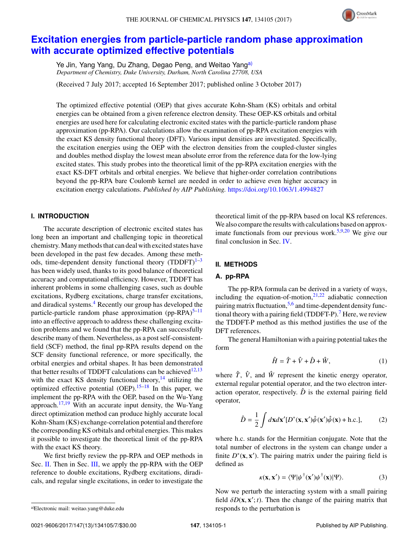

# **[Excitation energies from particle-particle random phase approximation](https://doi.org/10.1063/1.4994827) [with accurate optimized effective potentials](https://doi.org/10.1063/1.4994827)**

Ye Jin, Yang Yang, Du Zhang, Degao Peng, and Weitao Yang<sup>[a\)](#page-1-0)</sup> *Department of Chemistry, Duke University, Durham, North Carolina 27708, USA*

(Received 7 July 2017; accepted 16 September 2017; published online 3 October 2017)

The optimized effective potential (OEP) that gives accurate Kohn-Sham (KS) orbitals and orbital energies can be obtained from a given reference electron density. These OEP-KS orbitals and orbital energies are used here for calculating electronic excited states with the particle-particle random phase approximation (pp-RPA). Our calculations allow the examination of pp-RPA excitation energies with the exact KS density functional theory (DFT). Various input densities are investigated. Specifically, the excitation energies using the OEP with the electron densities from the coupled-cluster singles and doubles method display the lowest mean absolute error from the reference data for the low-lying excited states. This study probes into the theoretical limit of the pp-RPA excitation energies with the exact KS-DFT orbitals and orbital energies. We believe that higher-order correlation contributions beyond the pp-RPA bare Coulomb kernel are needed in order to achieve even higher accuracy in excitation energy calculations. *Published by AIP Publishing.* <https://doi.org/10.1063/1.4994827>

## **I. INTRODUCTION**

The accurate description of electronic excited states has long been an important and challenging topic in theoretical chemistry. Many methods that can deal with excited states have been developed in the past few decades. Among these methods, time-dependent density functional theory  $(TDDFT)^{1-3}$  $(TDDFT)^{1-3}$  $(TDDFT)^{1-3}$ has been widely used, thanks to its good balance of theoretical accuracy and computational efficiency. However, TDDFT has inherent problems in some challenging cases, such as double excitations, Rydberg excitations, charge transfer excitations, and diradical systems.<sup>[4](#page-7-2)</sup> Recently our group has developed the particle-particle random phase approximation  $(pp-RPA)^{5-11}$  $(pp-RPA)^{5-11}$  $(pp-RPA)^{5-11}$ into an effective approach to address these challenging excitation problems and we found that the pp-RPA can successfully describe many of them. Nevertheless, as a post self-consistentfield (SCF) method, the final pp-RPA results depend on the SCF density functional reference, or more specifically, the orbital energies and orbital shapes. It has been demonstrated that better results of TDDFT calculations can be achieved<sup>[12](#page-7-5)[,13](#page-7-6)</sup> with the exact KS density functional theory, $14$  utilizing the optimized effective potential  $(OEP)$ .<sup>[15–](#page-7-8)[18](#page-7-9)</sup> In this paper, we implement the pp-RPA with the OEP, based on the Wu-Yang approach.<sup>[17](#page-7-10)[,19](#page-7-11)</sup> With an accurate input density, the Wu-Yang direct optimization method can produce highly accurate local Kohn-Sham (KS) exchange-correlation potential and therefore the corresponding KS orbitals and orbital energies. This makes it possible to investigate the theoretical limit of the pp-RPA with the exact KS theory.

We first briefly review the pp-RPA and OEP methods in Sec. [II.](#page-1-1) Then in Sec. [III,](#page-4-0) we apply the pp-RPA with the OEP reference to double excitations, Rydberg excitations, diradicals, and regular single excitations, in order to investigate the theoretical limit of the pp-RPA based on local KS references. We also compare the results with calculations based on approx-imate functionals from our previous work.<sup>[5](#page-7-3)[,9](#page-7-12)[,20](#page-7-13)</sup> We give our final conclusion in Sec. [IV.](#page-7-14)

### <span id="page-1-1"></span>**II. METHODS**

#### **A. pp-RPA**

The pp-RPA formula can be derived in a variety of ways, including the equation-of-motion, $21,22$  $21,22$  adiabatic connection pairing matrix fluctuation, [5](#page-7-3)[,6](#page-7-17) and time-dependent density func-tional theory with a pairing field (TDDFT-P).<sup>[7](#page-7-18)</sup> Here, we review the TDDFT-P method as this method justifies the use of the DFT references.

The general Hamiltonian with a pairing potential takes the form

$$
\hat{H} = \hat{T} + \hat{V} + \hat{D} + \hat{W},\tag{1}
$$

where  $\hat{T}$ ,  $\hat{V}$ , and  $\hat{W}$  represent the kinetic energy operator, external regular potential operator, and the two electron interaction operator, respectively.  $\hat{D}$  is the external pairing field operator,

$$
\hat{D} = \frac{1}{2} \int d\mathbf{x} d\mathbf{x}' [D^*(\mathbf{x}, \mathbf{x}') \hat{\psi}(\mathbf{x}') \hat{\psi}(\mathbf{x}) + \text{h.c.}], \tag{2}
$$

where h.c. stands for the Hermitian conjugate. Note that the total number of electrons in the system can change under a finite  $D^*(\mathbf{x}, \mathbf{x}')$ . The pairing matrix under the pairing field is defined as

$$
\kappa(\mathbf{x}, \mathbf{x}') = \langle \Psi | \psi^\dagger(\mathbf{x}') \psi^\dagger(\mathbf{x}) | \Psi \rangle.
$$
 (3)

Now we perturb the interacting system with a small pairing field  $\delta D(\mathbf{x}, \mathbf{x}'; t)$ . Then the change of the pairing matrix that responds to the perturbation is responds to the perturbation is

<span id="page-1-0"></span>a)Electronic mail: [weitao.yang@duke.edu](mailto:weitao.yang@duke.edu)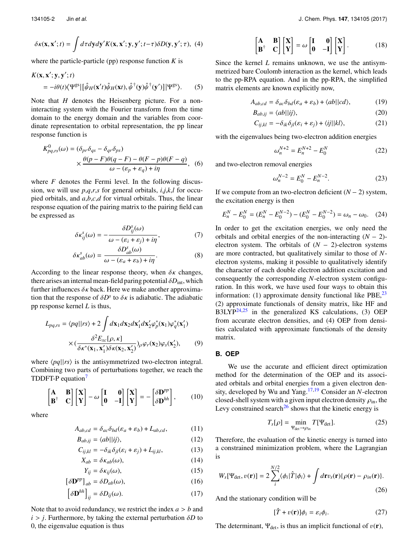$$
\delta \kappa(\mathbf{x}, \mathbf{x}'; t) = \int d\tau dy dy' K(\mathbf{x}, \mathbf{x}'; \mathbf{y}, \mathbf{y}'; t-\tau) \delta D(\mathbf{y}, \mathbf{y}'; \tau), \tag{4}
$$

where the particle-particle (pp) response function  $K$  is

$$
K(\mathbf{x}, \mathbf{x}'; \mathbf{y}, \mathbf{y}'; t) = -i\theta(t)\langle \Psi^{\text{gs}} | [\hat{\psi}_H(\mathbf{x}'; t)\hat{\psi}_H(\mathbf{x}t), \hat{\psi}^\dagger(\mathbf{y})\hat{\psi}^\dagger(\mathbf{y}')] | \Psi^{\text{gs}} \rangle.
$$
 (5)

Note that *H* denotes the Heisenberg picture. For a noninteracting system with the Fourier transform from the time domain to the energy domain and the variables from coordinate representation to orbital representation, the pp linear response function is

$$
K_{pq,rs}^{0}(\omega) = (\delta_{pr}\delta_{qs} - \delta_{qr}\delta_{ps})
$$
  
 
$$
\times \frac{\theta(p - F)\theta(q - F) - \theta(F - p)\theta(F - q)}{\omega - (\varepsilon_p + \varepsilon_q) + i\eta},
$$
 (6)

where *F* denotes the Fermi level. In the following discussion, we will use *p*,*q*,*r*,*s* for general orbitals, *i*,*j*,*k*,*l* for occupied orbitals, and *a*,*b*,*c*,*d* for virtual orbitals. Thus, the linear response equation of the pairing matrix to the pairing field can be expressed as

$$
\delta \kappa_{ij}^s(\omega) = -\frac{\delta D_{ij}^s(\omega)}{\omega - (\varepsilon_i + \varepsilon_j) + i\eta},\tag{7}
$$

$$
\delta \kappa_{ab}^s(\omega) = \frac{\delta D_{ab}^s(\omega)}{\omega - (\varepsilon_a + \varepsilon_b) + i\eta}.
$$
 (8)

According to the linear response theory, when  $\delta \kappa$  changes, there arises an internal mean-field paring potential  $\delta D_{\text{int}}$ , which further influences  $\delta \kappa$  back. Here we make another approximation that the response of  $\delta D^s$  to  $\delta \kappa$  is adiabatic. The adiabatic<br>position response kernel *I* is thus pp response kernel *L* is thus,

$$
L_{pq,rs} = \langle pq \vert \vert rs \rangle + 2 \int d\mathbf{x}_1 d\mathbf{x}_2 d\mathbf{x}'_1 d\mathbf{x}'_2 \varphi_p^*(\mathbf{x}_1) \varphi_q^*(\mathbf{x}'_1)
$$

$$
\times (\frac{\delta^2 E_{xc}[\rho, \kappa]}{\delta \kappa^*(\mathbf{x}_1, \mathbf{x}'_1) \delta \kappa(\mathbf{x}_2, \mathbf{x}'_2)}) \rho \varphi_r(\mathbf{x}_2) \varphi_s(\mathbf{x}'_2), \qquad (9)
$$

where  $\langle pq||rs \rangle$  is the antisymmetrized two-electron integral. Combining two parts of perturbations together, we reach the TDDFT-P equation<sup>[7](#page-7-18)</sup>

$$
\begin{bmatrix} A & B \\ B^{\dagger} & C \end{bmatrix} \begin{bmatrix} X \\ Y \end{bmatrix} - \omega \begin{bmatrix} I & 0 \\ 0 & -I \end{bmatrix} \begin{bmatrix} X \\ Y \end{bmatrix} = - \begin{bmatrix} \delta D^{pp} \\ \delta D^{hh} \end{bmatrix}, \qquad (10)
$$

where

$$
A_{ab,cd} = \delta_{ac}\delta_{bd}(\varepsilon_a + \varepsilon_b) + L_{ab,cd},\tag{11}
$$

$$
B_{ab,ij} = \langle ab \mid |ij\rangle,\tag{12}
$$

$$
C_{ij,kl} = -\delta_{ik}\delta_{jl}(\varepsilon_i + \varepsilon_j) + L_{ij,kl},
$$
\n(13)

$$
X_{ab} = \delta \kappa_{ab}(\omega),\tag{14}
$$

$$
Y_{ij} = \delta \kappa_{ij}(\omega),\tag{15}
$$

$$
\left[\delta \mathbf{D}^{pp}\right]_{ab} = \delta D_{ab}(\omega),\tag{16}
$$

$$
\left[\delta \mathbf{D}^{hh}\right]_{ij} = \delta D_{ij}(\omega). \tag{17}
$$

Note that to avoid redundancy, we restrict the index *<sup>a</sup>* > *<sup>b</sup>* and  $i > j$ . Furthermore, by taking the external perturbation  $\delta D$  to 0, the eigenvalue equation is thus

$$
\begin{bmatrix} A & B \\ B^{\dagger} & C \end{bmatrix} \begin{bmatrix} X \\ Y \end{bmatrix} = \omega \begin{bmatrix} I & 0 \\ 0 & -I \end{bmatrix} \begin{bmatrix} X \\ Y \end{bmatrix}.
$$
 (18)

Since the kernel *L* remains unknown, we use the antisymmetrized bare Coulomb interaction as the kernel, which leads to the pp-RPA equation. And in the pp-RPA, the simplified matrix elements are known explicitly now,

$$
A_{ab,cd} = \delta_{ac}\delta_{bd}(\varepsilon_a + \varepsilon_b) + \langle ab||cd\rangle, \tag{19}
$$

$$
B_{ab,ij} = \langle ab \mid |ij\rangle,\tag{20}
$$

$$
C_{ij,kl} = -\delta_{ik}\delta_{jl}(\varepsilon_i + \varepsilon_j) + \langle ij||kl\rangle, \tag{21}
$$

with the eigenvalues being two-electron addition energies

$$
\omega_n^{N+2} = E_n^{N+2} - E_0^N \tag{22}
$$

and two-electron removal energies

$$
\omega_n^{N-2} = E_0^N - E_n^{N-2}.
$$
 (23)

If we compute from an two-electron deficient  $(N - 2)$  system, the excitation energy is then

$$
E_n^N - E_0^N = (E_n^N - E_0^{N-2}) - (E_0^N - E_0^{N-2}) = \omega_n - \omega_0.
$$
 (24)  
In order to get the excitation energies, we only need the  
orbitals and orbital energies of the non-interacting  $(N - 2)$ -

In order to get the excitation energies, we only need the  $E_n^- - E_0^- = (E_n^- - E_0^-^-) - (E_0^- - E_0^-^-) = \omega_n - \omega_0$ . (24)<br>In order to get the excitation energies, we only need the<br>orbitals and orbital energies of the non-interacting (*N* – 2)-<br>electron system. The orbitals of (*N* – 2)-elect are more contracted, but qualitatively similar to those of *N*electron systems, making it possible to qualitatively identify the character of each double electron addition excitation and consequently the corresponding *N*-electron system configuration. In this work, we have used four ways to obtain this information: (1) approximate density functional like PBE,  $^{23}$  $^{23}$  $^{23}$ (2) approximate functionals of density matrix, like HF and B3LYP $^{24,25}$  $^{24,25}$  $^{24,25}$  $^{24,25}$  in the generalized KS calculations, (3) OEP from accurate electron densities, and (4) OEP from densities calculated with approximate functionals of the density matrix.

#### **B. OEP**

We use the accurate and efficient direct optimization method for the determination of the OEP and its associated orbitals and orbital energies from a given electron density, developed by Wu and Yang.[17](#page-7-10)[,19](#page-7-11) Consider an *N*-electron closed-shell system with a given input electron density  $\rho_{\text{in}}$ , the Levy constrained search<sup>[26](#page-7-22)</sup> shows that the kinetic energy is

$$
T_s[\rho] = \min_{\Psi_{\text{det}} \to \rho_{in}} T[\Psi_{\text{det}}]. \tag{25}
$$

Therefore, the evaluation of the kinetic energy is turned into a constrained minimization problem, where the Lagrangian is

$$
W_s[\Psi_{\text{det}}, v(\mathbf{r})] = 2 \sum_{i}^{N/2} \langle \phi_i | \hat{T} | \phi_i \rangle + \int d\mathbf{r} v_s(\mathbf{r}) \{ \rho(\mathbf{r}) - \rho_{in}(\mathbf{r}) \}.
$$
\n(26)

And the stationary condition will be

$$
[\hat{T} + v(\mathbf{r})]\phi_i = \varepsilon_i \phi_i.
$$
 (27)

The determinant,  $\Psi_{\text{det}}$ , is thus an implicit functional of  $v(\mathbf{r})$ ,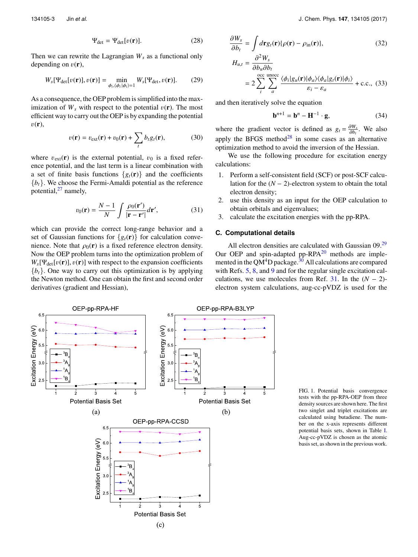Then we can rewrite the Lagrangian  $W_s$  as a functional only depending on  $v(\mathbf{r})$ ,

$$
W_s[\Psi_{\text{det}}[v(\mathbf{r})], v(\mathbf{r})] = \min_{\phi_i, \langle \phi_i | \phi_i \rangle = 1} W_s[\Psi_{\text{det}}, v(\mathbf{r})]. \tag{29}
$$

As a consequence, the OEP problem is simplified into the maximization of  $W_s$  with respect to the potential  $v(\mathbf{r})$ . The most efficient way to carry out the OEP is by expanding the potential  $v(\mathbf{r}),$ 

$$
v(\mathbf{r}) = v_{\text{ext}}(\mathbf{r}) + v_0(\mathbf{r}) + \sum_{t} b_t g_t(\mathbf{r}),
$$
 (30)

where  $v_{ext}(\mathbf{r})$  is the external potential,  $v_0$  is a fixed reference potential, and the last term is a linear combination with a set of finite basis functions  $\{g_t(\mathbf{r})\}$  and the coefficients  ${b<sub>t</sub>}$ . We choose the Fermi-Amaldi potential as the reference potential, $27$  namely,

$$
v_0(\mathbf{r}) = \frac{N-1}{N} \int \frac{\rho_0(\mathbf{r}')}{|\mathbf{r} - \mathbf{r}'|} d\mathbf{r}',\tag{31}
$$

which can provide the correct long-range behavior and a set of Gaussian functions for  $\{g_t(\mathbf{r})\}$  for calculation convenience. Note that  $\rho_0(\mathbf{r})$  is a fixed reference electron density. Now the OEP problem turns into the optimization problem of  $W_s[\Psi_{\text{det}}[v(\mathbf{r})], v(\mathbf{r})]$  with respect to the expansion coefficients  ${b_t}$ . One way to carry out this optimization is by applying the Newton method. One can obtain the first and second order derivatives (gradient and Hessian),

$$
\frac{\partial W_s}{\partial b_t} = \int d\mathbf{r} g_t(\mathbf{r}) \{ \rho(\mathbf{r}) - \rho_{\text{in}}(\mathbf{r}) \},
$$
\n
$$
H_{u,t} = \frac{\partial^2 W_s}{\partial b_t \partial b_t}.
$$
\n(32)

$$
\frac{\partial b_u \partial b_t}{\partial z} = 2 \sum_{i}^{\text{occ } \text{unocc}} \frac{\langle \phi_i | g_u(\mathbf{r}) | \phi_a \rangle \langle \phi_a | g_t(\mathbf{r}) | \phi_i \rangle}{\varepsilon_i - \varepsilon_a} + \text{c.c.,} \tag{33}
$$

and then iteratively solve the equation

$$
\mathbf{b}^{n+1} = \mathbf{b}^n - \mathbf{H}^{-1} \cdot \mathbf{g},\tag{34}
$$

where the gradient vector is defined as  $g_t = \frac{\partial W_s}{\partial b_t}$ . We also apply the BFGS method<sup>[28](#page-7-24)</sup> in some cases as an alternative optimization method to avoid the inversion of the Hessian.

We use the following procedure for excitation energy calculations:

- 1. Perform a self-consistent field (SCF) or post-SCF calcu-We use the following procedure for excitation energy<br>lations:<br>Perform a self-consistent field (SCF) or post-SCF calcu-<br>lation for the  $(N - 2)$ -electron system to obtain the total electron density;
- 2. use this density as an input for the OEP calculation to obtain orbitals and eigenvalues;
- 3. calculate the excitation energies with the pp-RPA.

#### **C. Computational details**

All electron densities are calculated with Gaussian 09.<sup>[29](#page-7-25)</sup> Our OEP and spin-adapted pp-RPA<sup>[20](#page-7-13)</sup> methods are implemented in the QM<sup>4</sup>D package.<sup>30</sup> All calculations are compared with Refs. 5, 8, and 9 and for the regular single excitation calculations, we use molecules from Ref. 31 mented in the  $QM<sup>4</sup>D$  package.<sup>[30](#page-7-26)</sup> All calculations are compared with Refs. [5,](#page-7-3) [8,](#page-7-27) and [9](#page-7-12) and for the regular single excitation calelectron system calculations, aug-cc-pVDZ is used for the

<span id="page-3-0"></span>

FIG. 1. Potential basis convergence tests with the pp-RPA-OEP from three density sources are shown here. The first two singlet and triplet excitations are calculated using butadiene. The number on the x-axis represents different potential basis sets, shown in Table [I.](#page-4-1) Aug-cc-pVDZ is chosen as the atomic basis set, as shown in the previous work.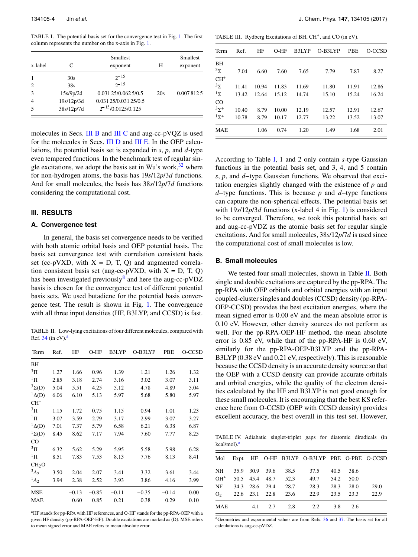<span id="page-4-1"></span>TABLE I. The potential basis set for the convergence test in Fig. [1.](#page-3-0) The first column represents the number on the x-axis in Fig. [1.](#page-3-0)

| x-label        | C          | Smallest<br>exponent   | Н   | <b>Smallest</b><br>exponent |  |
|----------------|------------|------------------------|-----|-----------------------------|--|
|                | 30s        | $2^{-15}$              |     |                             |  |
| $\mathcal{L}$  | 38s        | $2^{-15}$              |     |                             |  |
| $\mathcal{R}$  | 15s/9p/2d  | 0.031 25/0.062 5/0.5   | 20s | 0.0078125                   |  |
| $\overline{4}$ | 19s/12p/3d | 0.031 25/0.031 25/0.5  |     |                             |  |
|                | 38s/12p/7d | $2^{-15}/0.0125/0.125$ |     |                             |  |

molecules in Secs. [III B](#page-4-2) and [III C](#page-5-0) and aug-cc-pVOZ is used for the molecules in Secs. [III D](#page-6-0) and [III E.](#page-6-1) In the OEP calculations, the potential basis set is expanded in *s*, *p*, and *d*-type even tempered functions. In the benchmark test of regular single excitations, we adopt the basis set in Wu's work,  $32$  where for non-hydrogen atoms, the basis has 19*s*/12*p*/3*d* functions. And for small molecules, the basis has 38*s*/12*p*/7*d* functions considering the computational cost.

#### <span id="page-4-0"></span>**III. RESULTS**

#### **A. Convergence test**

In general, the basis set convergence needs to be verified with both atomic orbital basis and OEP potential basis. The basis set convergence test with correlation consistent basis set (cc-pVXD, with  $X = D$ , T, Q) and augmented correlation consistent basis set (aug-cc-pVXD, with  $X = D$ , T, Q) has been investigated previously<sup>[8](#page-7-27)</sup> and here the aug-cc-pVDZ basis is chosen for the convergence test of different potential basis sets. We used butadiene for the potential basis convergence test. The result is shown in Fig. [1.](#page-3-0) The convergence with all three input densities (HF, B3LYP, and CCSD) is fast.

<span id="page-4-4"></span>TABLE II. Low-lying excitations of four different molecules, compared with Ref.  $34$  (in eV).<sup>[a](#page-4-3)</sup>

| Term              | Ref. | HF      | $O-HF$  | B3LYP   | O-B3LYP | PBE     | O-CCSD |
|-------------------|------|---------|---------|---------|---------|---------|--------|
| BH                |      |         |         |         |         |         |        |
| $\rm{^{3}H}$      | 1.27 | 1.66    | 0.96    | 1.39    | 1.21    | 1.26    | 1.32   |
| $1\,\mathrm{II}$  | 2.85 | 3.18    | 2.74    | 3.16    | 3.02    | 3.07    | 3.11   |
| $3\Sigma(D)$      | 5.04 | 5.51    | 4.25    | 5.12    | 4.78    | 4.89    | 5.04   |
| ${}^1\Delta(D)$   | 6.06 | 6.10    | 5.13    | 5.97    | 5.68    | 5.80    | 5.97   |
| $CH+$             |      |         |         |         |         |         |        |
| $\rm{^{3}H}$      | 1.15 | 1.72    | 0.75    | 1.15    | 0.94    | 1.01    | 1.23   |
| $1\,\mathrm{II}$  | 3.07 | 3.59    | 2.79    | 3.17    | 2.99    | 3.07    | 3.27   |
| ${}^1\Delta(D)$   | 7.01 | 7.37    | 5.79    | 6.58    | 6.21    | 6.38    | 6.87   |
| ${}^{1}\Sigma(D)$ | 8.45 | 8.62    | 7.17    | 7.94    | 7.60    | 7.77    | 8.25   |
| $_{\rm CO}$       |      |         |         |         |         |         |        |
| $\rm{^{3}H}$      | 6.32 | 5.62    | 5.29    | 5.95    | 5.58    | 5.98    | 6.28   |
| $1\,\mathrm{II}$  | 8.51 | 7.83    | 7.53    | 8.13    | 7.76    | 8.13    | 8.41   |
| CH <sub>2</sub> O |      |         |         |         |         |         |        |
| $3A_2$            | 3.50 | 2.04    | 2.07    | 3.41    | 3.32    | 3.61    | 3.44   |
| $^{1}A_{2}$       | 3.94 | 2.38    | 2.52    | 3.93    | 3.86    | 4.16    | 3.99   |
| <b>MSE</b>        |      | $-0.13$ | $-0.85$ | $-0.11$ | $-0.35$ | $-0.14$ | 0.00   |
| <b>MAE</b>        |      | 0.60    | 0.85    | 0.21    | 0.38    | 0.29    | 0.10   |

<span id="page-4-3"></span><sup>a</sup>HF stands for pp-RPA with HF references, and O-HF stands for the pp-RPA-OEP with a given HF density (pp-RPA-OEP-HF). Double excitations are marked as (D). MSE refers to mean signed error and MAE refers to mean absolute error.

<span id="page-4-6"></span>TABLE III. Rydberg Excitations of BH, CH<sup>+</sup>, and CO (in eV).

| Term        | Ref.  | HF    | $O-HF$ | B3LYP | O-B3LYP | <b>PBE</b> | O-CCSD |
|-------------|-------|-------|--------|-------|---------|------------|--------|
| BH          |       |       |        |       |         |            |        |
| $3\Sigma$   | 7.04  | 6.60  | 7.60   | 7.65  | 7.79    | 7.87       | 8.27   |
| $CH+$       |       |       |        |       |         |            |        |
| $3\Sigma$   | 11.41 | 10.94 | 11.83  | 11.69 | 11.80   | 11.91      | 12.86  |
| $1\Sigma$   | 13.42 | 12.64 | 15.12  | 14.74 | 15.10   | 15.24      | 16.24  |
| CO          |       |       |        |       |         |            |        |
| $3\Sigma^+$ | 10.40 | 8.79  | 10.00  | 12.19 | 12.57   | 12.91      | 12.67  |
| $1y+$       | 10.78 | 8.79  | 10.17  | 12.77 | 13.22   | 13.52      | 13.07  |
| <b>MAE</b>  |       | 1.06  | 0.74   | 1.20  | 1.49    | 1.68       | 2.01   |

According to Table [I,](#page-4-1) 1 and 2 only contain *s*-type Gaussian functions in the potential basis set, and 3, 4, and 5 contain *According to Table I, 1 and 2 only contain <i>s*-type Gaussian functions in the potential basis set, and 3, 4, and 5 contain *s*, *p*, and *d*–type Gaussian functions. We observed that excitation energies slightly changed with the existence of *p* and functions in the potential basis set, and 3, 4, and 5 contains,  $p$ , and  $d$ -type Gaussian functions. We observed that excitation energies slightly changed with the existence of  $p$  and  $d$ -type functions. This is because can capture the non-spherical effects. The potential basis set with 19*s*/12*p*/3*d* functions (x-label 4 in Fig. [1\)](#page-3-0) is considered to be converged. Therefore, we took this potential basis set and aug-cc-pVDZ as the atomic basis set for regular single excitations. And for small molecules, 38*s*/12*p*/7*d* is used since the computational cost of small molecules is low.

#### <span id="page-4-2"></span>**B. Small molecules**

We tested four small molecules, shown in Table [II.](#page-4-4) Both single and double excitations are captured by the pp-RPA. The pp-RPA with OEP orbitals and orbital energies with an input coupled-cluster singles and doubles (CCSD) density (pp-RPA-OEP-CCSD) provides the best excitation energies, where the mean signed error is 0.00 eV and the mean absolute error is 0.10 eV. However, other density sources do not perform as well. For the pp-RPA-OEP-HF method, the mean absolute error is 0.85 eV, while that of the pp-RPA-HF is 0.60 eV, similarly for the pp-RPA-OEP-B3LYP and the pp-RPA-B3LYP (0.38 eV and 0.21 eV, respectively). This is reasonable because the CCSD density is an accurate density source so that the OEP with a CCSD density can provide accurate orbitals and orbital energies, while the quality of the electron densities calculated by the HF and B3LYP is not good enough for these small molecules. It is encouraging that the best KS reference here from O-CCSD (OEP with CCSD density) provides excellent accuracy, the best overall in this test set. However,

<span id="page-4-7"></span>TABLE IV. Adiabatic singlet-triplet gaps for diatomic diradicals (in kc[a](#page-4-5)l/mol).<sup>a</sup>

|     |  |  | Mol Expt. HF O-HF B3LYP O-B3LYP PBE O-PBE O-CCSD   |  |      |
|-----|--|--|----------------------------------------------------|--|------|
|     |  |  | NH 35.9 30.9 39.6 38.5 37.5 40.5 38.6              |  |      |
|     |  |  | OH <sup>+</sup> 50.5 45.4 48.7 52.3 49.7 54.2 50.0 |  |      |
|     |  |  | NF 34.3 28.6 29.4 28.7 28.3 28.3 28.0              |  | 29.0 |
|     |  |  | $Q_2$ 22.6 23.1 22.8 23.6 22.9 23.5 23.3           |  | 22.9 |
| MAE |  |  | 4.1 2.7 2.8 2.2 3.8 2.6                            |  |      |

<span id="page-4-5"></span><sup>a</sup>Geometries and experimental values are from Refs. [36](#page-7-31) and [37.](#page-7-32) The basis set for all calculations is aug-cc-pVDZ.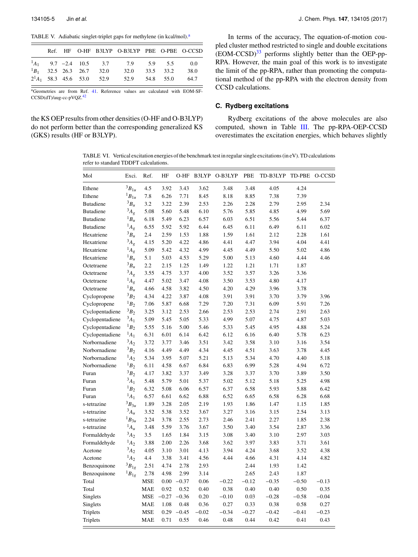<span id="page-5-2"></span>TABLE V. Adi[a](#page-5-1)batic singlet-triplet gaps for methylene (in kcal/mol).<sup>a</sup>

|  |  | Ref. HF O-HF B3LYP O-B3LYP PBE O-PBE O-CCSD      |  |      |
|--|--|--------------------------------------------------|--|------|
|  |  | ${}^{1}A_1$ 9.7 -2.4 10.5 3.7 7.9 5.9 5.5 0.0    |  |      |
|  |  | ${}^{1}B_1$ 32.5 26.3 26.7 32.0 32.0 33.5 33.2   |  | 38.0 |
|  |  | $2^1A_1$ 58.3 45.6 53.0 52.9 52.9 54.8 55.0 64.7 |  |      |

<span id="page-5-1"></span><sup>a</sup>Geometries are from Ref. [41.](#page-7-33) Reference values are calculated with EOM-SF-CCSD(dT)/aug-cc-pVQZ.<sup>[42](#page-7-34)</sup>

the KS OEP results from other densities (O-HF and O-B3LYP) do not perform better than the corresponding generalized KS (GKS) results (HF or B3LYP).

In terms of the accuracy, The equation-of-motion coupled cluster method restricted to single and double excitations (EOM-CCSD)[33](#page-7-35) performs slightly better than the OEP-pp-RPA. However, the main goal of this work is to investigate the limit of the pp-RPA, rather than promoting the computational method of the pp-RPA with the electron density from CCSD calculations.

#### <span id="page-5-0"></span>**C. Rydberg excitations**

Rydberg excitations of the above molecules are also computed, shown in Table [III.](#page-4-6) The pp-RPA-OEP-CCSD overestimates the excitation energies, which behaves slightly

<span id="page-5-3"></span>TABLE VI. Vertical excitation energies of the benchmark test in regular single excitations (in eV). TD calculations refer to standard TDDFT calculations.

| Mol              | Exci.          | Ref.       | HF      | O-HF         | B3LYP   | O-B3LYP | PBE     | TD-B3LYP | TD-PBE  | O-CCSD  |
|------------------|----------------|------------|---------|--------------|---------|---------|---------|----------|---------|---------|
| Ethene           | $^3B_{1u}$     | 4.5        | 3.92    | 3.43         | 3.62    | 3.48    | 3.48    | 4.05     | 4.24    |         |
| Ethene           | $^1B_{1u}$     | 7.8        | 6.26    | 7.71         | 8.45    | 8.18    | 8.85    | 7.38     | 7.39    |         |
| <b>Butadiene</b> | $3B_u$         | 3.2        | 3.22    | 2.39         | 2.53    | 2.26    | 2.28    | 2.79     | 2.95    | 2.34    |
| <b>Butadiene</b> | ${}^{3}A_g$    | 5.08       | 5.60    | 5.48         | 6.10    | 5.76    | 5.85    | 4.85     | 4.99    | 5.69    |
| <b>Butadiene</b> | ${}^1B_u$      | 6.18       | 5.49    | 6.23         | 6.57    | 6.03    | 6.51    | 5.56     | 5.44    | 6.37    |
| <b>Butadiene</b> | $^{1}A_{g}$    | 6.55       | 5.92    | 5.92         | 6.44    | 6.45    | 6.11    | 6.49     | 6.11    | 6.02    |
| Hexatriene       | $3B_u$         | 2.4        | 2.59    | 1.53         | 1.88    | 1.59    | 1.61    | 2.12     | 2.28    | 1.61    |
| Hexatriene       | ${}^{3}A_g$    | 4.15       | 5.20    | 4.22         | 4.86    | 4.41    | 4.47    | 3.94     | 4.04    | 4.41    |
| Hexatriene       | $^{1}A_{g}$    | 5.09       | 5.42    | 4.32         | 4.99    | 4.45    | 4.49    | 5.50     | 5.02    | 4.86    |
| Hexatriene       | ${}^1B_u$      | 5.1        | 5.03    | 4.53         | 5.29    | 5.00    | 5.13    | 4.60     | 4.44    | 4.46    |
| Octetraene       | $3B_u$         | 2.2        | 2.15    | 1.25         | 1.49    | 1.22    | 1.21    | 1.71     | 1.87    |         |
| Octetraene       | ${}^3A_g$      | 3.55       | 4.75    | 3.37         | 4.00    | 3.52    | 3.57    | 3.26     | 3.36    |         |
| Octetraene       | $^{1}A_{g}$    | 4.47       | 5.02    | 3.47         | 4.08    | 3.50    | 3.53    | 4.80     | 4.17    |         |
| Octetraene       | ${}^1B_u$      | 4.66       | 4.58    | 3.82         | 4.50    | 4.20    | 4.29    | 3.96     | 3.78    |         |
| Cyclopropene     | $3B_2$         | 4.34       | 4.22    | 3.87         | 4.08    | 3.91    | 3.91    | 3.70     | 3.79    | 3.96    |
| Cyclopropene     | ${}^1B_2$      | 7.06       | 5.87    | 6.68         | 7.29    | 7.20    | 7.31    | 6.09     | 5.91    | 7.26    |
| Cyclopentadiene  | $^3B_2$        | 3.25       | 3.12    | 2.53         | 2.66    | 2.53    | 2.53    | 2.74     | 2.91    | 2.63    |
| Cyclopentadiene  | $3A_1$         | 5.09       | 5.45    | 5.05         | 5.33    | 4.99    | 5.07    | 4.75     | 4.87    | 5.03    |
| Cyclopentadiene  | ${}^1B_2$      | 5.55       | 5.16    | 5.00         | 5.46    | 5.33    | 5.45    | 4.95     | 4.88    | 5.24    |
| Cyclopentadiene  | $^{1}A_{1}$    | 6.31       | 6.01    | 6.14         | 6.42    | 6.12    | 6.16    | 6.40     | 5.78    | 6.23    |
| Norbornadiene    | $3A_2$         | 3.72       | 3.77    | 3.46         | 3.51    | 3.42    | 3.58    | 3.10     | 3.16    | 3.54    |
| Norbornadiene    | $3B_2$         | 4.16       | 4.49    | 4.49         | 4.34    | 4.45    | 4.51    | 3.63     | 3.78    | 4.45    |
| Norbornadiene    | $A_2$          | 5.34       | 3.95    | 5.07         | 5.21    | 5.13    | 5.34    | 4.70     | 4.40    | 5.18    |
| Norbornadiene    | ${}^1B_2$      | 6.11       | 4.58    | 6.67         | 6.84    | 6.83    | 6.99    | 5.28     | 4.94    | 6.72    |
| Furan            | $^3B_2$        | 4.17       | 3.82    | 3.37         | 3.49    | 3.28    | 3.37    | 3.70     | 3.89    | 3.50    |
| Furan            | $^{3}A_{1}$    | 5.48       | 5.79    | 5.01         | 5.37    | 5.02    | 5.12    | 5.18     | 5.25    | 4.98    |
| Furan            | ${}^1B_2$      | 6.32       | 5.08    | 6.06         | 6.57    | 6.37    | 6.58    | 5.93     | 5.88    | 6.42    |
| Furan            | $^{1}A_{1}$    | 6.57       | 6.61    | 6.62         | 6.88    | 6.52    | 6.65    | 6.58     | 6.28    | 6.68    |
| s-tetrazine      | $3B_{3u}$      | 1.89       | 3.28    | 2.05         | 2.19    | 1.93    | 1.86    | 1.47     | 1.15    | 1.85    |
| s-tetrazine      | ${}^3\!A_u$    | 3.52       | 5.38    | 3.52         | 3.67    | 3.27    | 3.16    | 3.15     | 2.54    | 3.13    |
| s-tetrazine      | ${}^{1}B_{3u}$ | 2.24       | 3.78    | 2.55         | 2.73    | 2.46    | 2.41    | 2.27     | 1.85    | 2.38    |
| s-tetrazine      | $^{1}A_u$      | 3.48       | 5.59    | 3.76         | 3.67    | 3.50    | 3.40    | 3.54     | 2.87    | 3.36    |
| Formaldehyde     | $3A_2$         | 3.5        | 1.65    | 1.84         | 3.15    | 3.08    | 3.40    | 3.10     | 2.97    | 3.03    |
| Formaldehyde     | $^{1}A_{2}$    | 3.88       | 2.00    | 2.26         | 3.68    | 3.62    | 3.97    | 3.83     | 3.71    | 3.61    |
| Acetone          | $3A_2$         | 4.05       | 3.10    | 3.01         | 4.13    | 3.94    | 4.24    | 3.68     | 3.52    | 4.38    |
| Acetone          | $^{1}A_{2}$    | 4.4        | 3.38    | 3.41         | 4.56    | 4.44    | 4.66    | 4.31     | 4.14    | 4.82    |
| Benzoquinone     | $3B_{1g}$      | 2.51       | 4.74    | 2.78         | 2.93    |         | 2.44    | 1.93     | 1.42    |         |
| Benzoquinone     | ${}^{1}B_{1g}$ | 2.78       | 4.98    | 2.99         | 3.14    |         | 2.65    | 2.43     | 1.87    |         |
| Total            |                | MSE        |         | $0.00 -0.37$ | 0.06    | $-0.22$ | $-0.12$ | $-0.35$  | $-0.50$ | $-0.13$ |
| Total            |                | <b>MAE</b> | 0.92    | 0.52         | 0.40    | 0.38    | 0.40    | 0.40     | 0.50    | 0.35    |
| Singlets         |                | MSE        | $-0.27$ | $-0.36$      | 0.20    | $-0.10$ | 0.03    | $-0.28$  | $-0.58$ | $-0.04$ |
| Singlets         |                | <b>MAE</b> | 1.08    | 0.48         | 0.36    | 0.27    | 0.33    | 0.38     | 0.58    | 0.27    |
| Triplets         |                | <b>MSE</b> | 0.29    | $-0.45$      | $-0.02$ | $-0.34$ | $-0.27$ | $-0.42$  | $-0.41$ | $-0.23$ |
| Triplets         |                | <b>MAE</b> | 0.71    | 0.55         | 0.46    | 0.48    | 0.44    | 0.42     | 0.41    | 0.43    |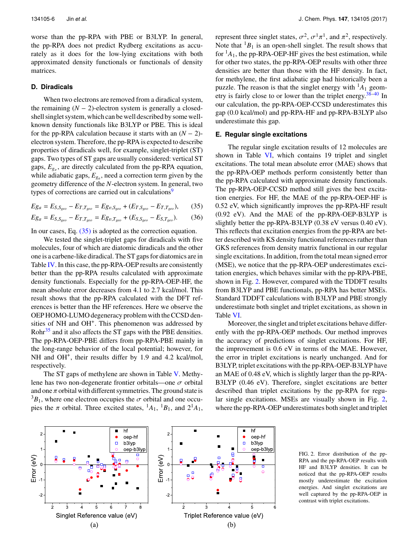worse than the pp-RPA with PBE or B3LYP. In general, the pp-RPA does not predict Rydberg excitations as accurately as it does for the low-lying excitations with both approximated density functionals or functionals of density matrices.

#### <span id="page-6-0"></span>**D. Diradicals**

When two electrons are removed from a diradical system, **D. Diradicals**<br>When two electrons are removed from a diradical system,<br>the remaining  $(N - 2)$ -electron system is generally a closedshell singlet system, which can be well described by some wellknown density functionals like B3LYP or PBE. This is ideal the remaining  $(N - 2)$ -electron system is generally a closed-<br>shell singlet system, which can be well described by some well-<br>known density functionals like B3LYP or PBE. This is ideal<br>for the pp-RPA calculation because it electron system. Therefore, the pp-RPA is expected to describe properties of diradicals well, for example, singlet-triplet (ST) gaps. Two types of ST gaps are usually considered: vertical ST gaps,  $E_{g_v}$ , are directly calculated from the pp-RPA equation, while adiabatic gaps, *Eg<sup>a</sup>* , need a correction term given by the geometry difference of the *N*-electron system. In general, two types of corrections are carried out in calculations<sup>[9](#page-7-12)</sup>

$$
Eg_a = E_{S,S_{geo}} - E_{T,T_{geo}} = Eg_{v,S_{geo}} + (E_{T,S_{geo}} - E_{T,T_{geo}}),
$$
 (35)

$$
Eg_a = E_{S, S_{geo}} - E_{T, T_{geo}} = Eg_{v, T_{geo}} + (E_{S, S_{geo}} - E_{S, T_{geo}}). \tag{36}
$$

In our cases, Eq. [\(35\)](#page-6-2) is adopted as the correction equation.

We tested the singlet-triplet gaps for diradicals with five molecules, four of which are diatomic diradicals and the other one is a carbene-like diradical. The ST gaps for diatomics are in Table [IV.](#page-4-7) In this case, the pp-RPA-OEP results are consistently better than the pp-RPA results calculated with approximate density functionals. Especially for the pp-RPA-OEP-HF, the mean absolute error decreases from 4.1 to 2.7 kcal/mol. This result shows that the pp-RPA calculated with the DFT references is better than the HF references. Here we observe the OEP HOMO-LUMO degeneracy problem with the CCSD densities of NH and OH<sup>+</sup>. This phenomenon was addressed by Rohr<sup>[35](#page-7-36)</sup> and it also affects the ST gaps with the PBE densities. The pp-RPA-OEP-PBE differs from pp-RPA-PBE mainly in the long-range behavior of the local potential; however, for NH and OH<sup>+</sup>, their results differ by 1.9 and 4.2 kcal/mol, respectively.

The ST gaps of methylene are shown in Table [V.](#page-5-2) Methylene has two non-degenerate frontier orbitals—one  $\sigma$  orbital and one  $\pi$  orbital with different symmetries. The ground state is  $3B_1$ , where one electron occupies the  $\sigma$  orbital and one occupies the  $\pi$  orbital. Three excited states, <sup>1</sup> $A_1$ , <sup>1</sup> $B_1$ , and 2<sup>1</sup> $A_1$ ,

represent three singlet states,  $\sigma^2$ ,  $\sigma^1 \pi^1$ , and  $\pi^2$ , respectively.<br>Note that <sup>1</sup>B, is an open-shell singlet. The result shows that Note that  ${}^{1}B_1$  is an open-shell singlet. The result shows that for  ${}^{1}A_1$ , the pp-RPA-OEP-HF gives the best estimation, while for other two states, the pp-RPA-OEP results with other three densities are better than those with the HF density. In fact, for methylene, the first adiabatic gap had historically been a puzzle. The reason is that the singlet energy with  ${}^{1}A_1$  geometry is fairly close to or lower than the triplet energy.[38–](#page-7-37)[40](#page-7-38) In our calculation, the pp-RPA-OEP-CCSD underestimates this gap (0.0 kcal/mol) and pp-RPA-HF and pp-RPA-B3LYP also underestimate this gap.

#### <span id="page-6-1"></span>**E. Regular single excitations**

<span id="page-6-2"></span>The regular single excitation results of 12 molecules are shown in Table [VI,](#page-5-3) which contains 19 triplet and singlet excitations. The total mean absolute error (MAE) shows that the pp-RPA-OEP methods perform consistently better than the pp-RPA calculated with approximate density functionals. The pp-RPA-OEP-CCSD method still gives the best excitation energies. For HF, the MAE of the pp-RPA-OEP-HF is 0.52 eV, which significantly improves the pp-RPA-HF result (0.92 eV). And the MAE of the pp-RPA-OEP-B3LYP is slightly better the pp-RPA-B3LYP (0.38 eV versus 0.40 eV). This reflects that excitation energies from the pp-RPA are better described with KS density functional references rather than GKS references from density matrix functional in our regular single excitations. In addition, from the total mean signed error (MSE), we notice that the pp-RPA-OEP underestimates excitation energies, which behaves similar with the pp-RPA-PBE, shown in Fig. [2.](#page-6-3) However, compared with the TDDFT results from B3LYP and PBE functionals, pp-RPA has better MSEs. Standard TDDFT calculations with B3LYP and PBE strongly underestimate both singlet and triplet excitations, as shown in Table [VI.](#page-5-3)

Moreover, the singlet and triplet excitations behave differently with the pp-RPA-OEP methods. Our method improves the accuracy of predictions of singlet excitations. For HF, the improvement is 0.6 eV in terms of the MAE. However, the error in triplet excitations is nearly unchanged. And for B3LYP, triplet excitations with the pp-RPA-OEP-B3LYP have an MAE of 0.48 eV, which is slightly larger than the pp-RPA-B3LYP (0.46 eV). Therefore, singlet excitations are better described than triplet excitations by the pp-RPA for regular single excitations. MSEs are visually shown in Fig. [2,](#page-6-3) where the pp-RPA-OEP underestimates both singlet and triplet

<span id="page-6-3"></span>

FIG. 2. Error distribution of the pp-RPA and the pp-RPA-OEP results with HF and B3LYP densities. It can be noticed that the pp-RPA-OEP results mostly underestimate the excitation energies. And singlet excitations are well captured by the pp-RPA-OEP in contrast with triplet excitations.